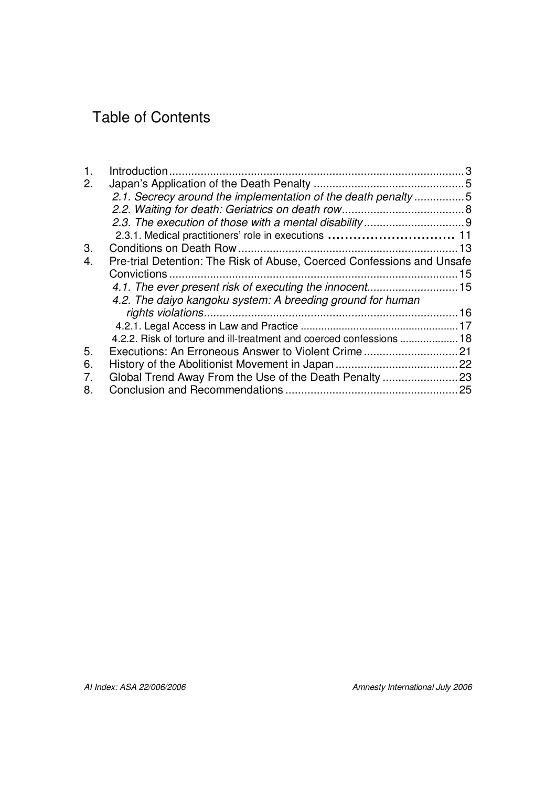# Table of Contents

| 2.1. Secrecy around the implementation of the death penalty 5        |                                                                                                                                  |
|----------------------------------------------------------------------|----------------------------------------------------------------------------------------------------------------------------------|
|                                                                      |                                                                                                                                  |
|                                                                      |                                                                                                                                  |
|                                                                      |                                                                                                                                  |
|                                                                      |                                                                                                                                  |
|                                                                      |                                                                                                                                  |
|                                                                      |                                                                                                                                  |
|                                                                      |                                                                                                                                  |
| 4.2. The daiyo kangoku system: A breeding ground for human           |                                                                                                                                  |
|                                                                      |                                                                                                                                  |
|                                                                      |                                                                                                                                  |
| 4.2.2. Risk of torture and ill-treatment and coerced confessions  18 |                                                                                                                                  |
| Executions: An Erroneous Answer to Violent Crime 21                  |                                                                                                                                  |
|                                                                      |                                                                                                                                  |
|                                                                      |                                                                                                                                  |
|                                                                      |                                                                                                                                  |
|                                                                      | Pre-trial Detention: The Risk of Abuse, Coerced Confessions and Unsafe<br>Global Trend Away From the Use of the Death Penalty 23 |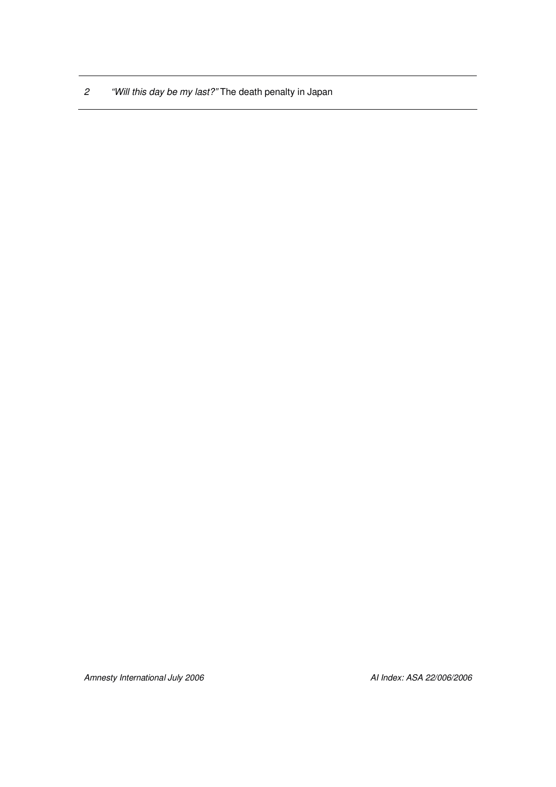*Amnesty International July 2006 AI Index: ASA 22/006/2006*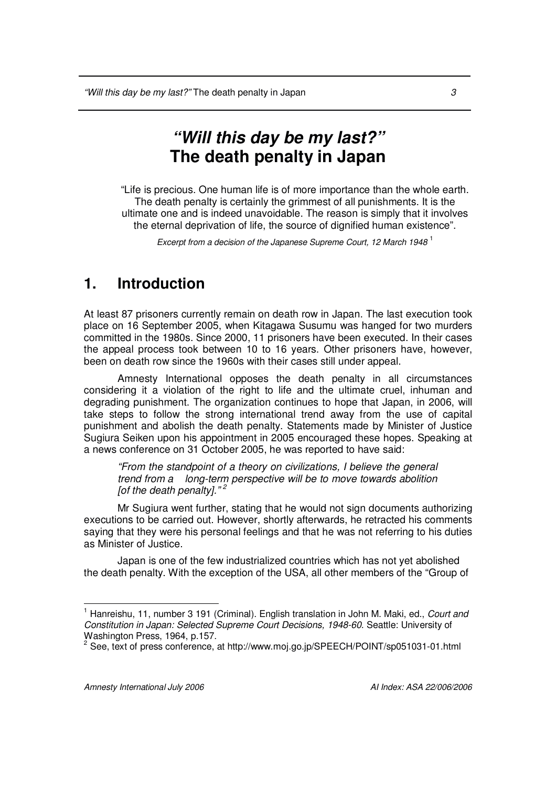"Life is precious. One human life is of more importance than the whole earth. The death penalty is certainly the grimmest of all punishments. It is the ultimate one and is indeed unavoidable. The reason is simply that it involves the eternal deprivation of life, the source of dignified human existence".

*Excerpt from a decision of the Japanese Supreme Court, 12 March 1948* 1

## **1. Introduction**

At least 87 prisoners currently remain on death row in Japan. The last execution took place on 16 September 2005, when Kitagawa Susumu was hanged for two murders committed in the 1980s. Since 2000, 11 prisoners have been executed. In their cases the appeal process took between 10 to 16 years. Other prisoners have, however, been on death row since the 1960s with their cases still under appeal.

Amnesty International opposes the death penalty in all circumstances considering it a violation of the right to life and the ultimate cruel, inhuman and degrading punishment. The organization continues to hope that Japan, in 2006, will take steps to follow the strong international trend away from the use of capital punishment and abolish the death penalty. Statements made by Minister of Justice Sugiura Seiken upon his appointment in 2005 encouraged these hopes. Speaking at a news conference on 31 October 2005, he was reported to have said:

*"From the standpoint of a theory on civilizations, I believe the general trend from a long-term perspective will be to move towards abolition [of the death penalty]." 2*

Mr Sugiura went further, stating that he would not sign documents authorizing executions to be carried out. However, shortly afterwards, he retracted his comments saying that they were his personal feelings and that he was not referring to his duties as Minister of Justice.

Japan is one of the few industrialized countries which has not yet abolished the death penalty. With the exception of the USA, all other members of the "Group of

<sup>1</sup> Hanreishu, 11, number 3 191 (Criminal). English translation in John M. Maki, ed., *Court and Constitution in Japan: Selected Supreme Court Decisions, 1948-60*. Seattle: University of Washington Press, 1964, p.157.

 $2^2$  See, text of press conference, at http://www.moj.go.jp/SPEECH/POINT/sp051031-01.html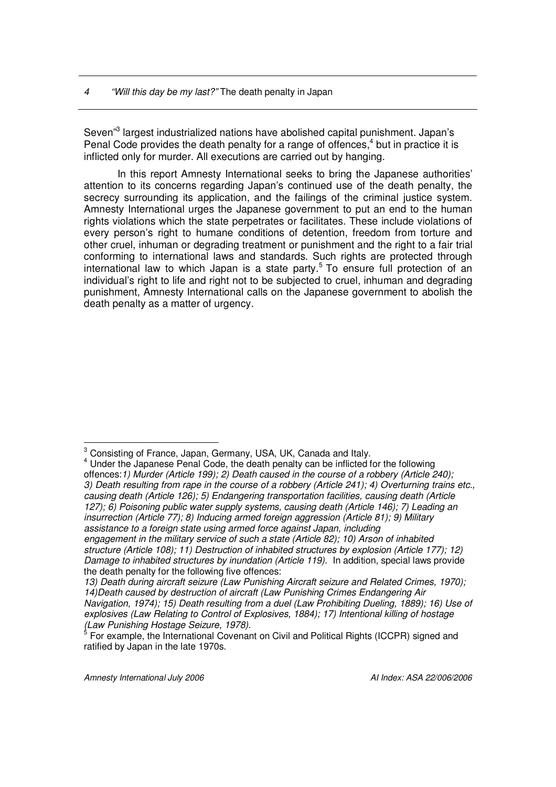Seven<sup>"3</sup> largest industrialized nations have abolished capital punishment. Japan's Penal Code provides the death penalty for a range of offences,<sup>4</sup> but in practice it is inflicted only for murder. All executions are carried out by hanging.

In this report Amnesty International seeks to bring the Japanese authorities' attention to its concerns regarding Japan's continued use of the death penalty, the secrecy surrounding its application, and the failings of the criminal justice system. Amnesty International urges the Japanese government to put an end to the human rights violations which the state perpetrates or facilitates. These include violations of every person's right to humane conditions of detention, freedom from torture and other cruel, inhuman or degrading treatment or punishment and the right to a fair trial conforming to international laws and standards. Such rights are protected through international law to which Japan is a state party. <sup>5</sup> To ensure full protection of an individual's right to life and right not to be subjected to cruel, inhuman and degrading punishment, Amnesty International calls on the Japanese government to abolish the death penalty as a matter of urgency.

<sup>&</sup>lt;sup>3</sup> Consisting of France, Japan, Germany, USA, UK, Canada and Italy.

<sup>&</sup>lt;sup>4</sup> Under the Japanese Penal Code, the death penalty can be inflicted for the following offences:*1) Murder (Article 199); 2) Death caused in the course of a robbery (Article 240); 3) Death resulting from rape in the course of a robbery (Article 241); 4) Overturning trains etc., causing death (Article 126); 5) Endangering transportation facilities, causing death (Article 127); 6) Poisoning public water supply systems, causing death (Article 146); 7) Leading an insurrection (Article 77); 8) Inducing armed foreign aggression (Article 81); 9) Military assistance to a foreign state using armed force against Japan, including*

*engagement in the military service of such a state (Article 82); 10) Arson of inhabited structure (Article 108); 11) Destruction of inhabited structures by explosion (Article 177); 12) Damage to inhabited structures by inundation (Article 119).* In addition, special laws provide the death penalty for the following five offences:

*<sup>13)</sup> Death during aircraft seizure (Law Punishing Aircraft seizure and Related Crimes, 1970); 14)Death caused by destruction of aircraft (Law Punishing Crimes Endangering Air Navigation, 1974); 15) Death resulting from a duel (Law Prohibiting Dueling, 1889); 16) Use of explosives (Law Relating to Control of Explosives, 1884); 17) Intentional killing of hostage (Law Punishing Hostage Seizure, 1978).* 5

For example, the International Covenant on Civil and Political Rights (ICCPR) signed and ratified by Japan in the late 1970s.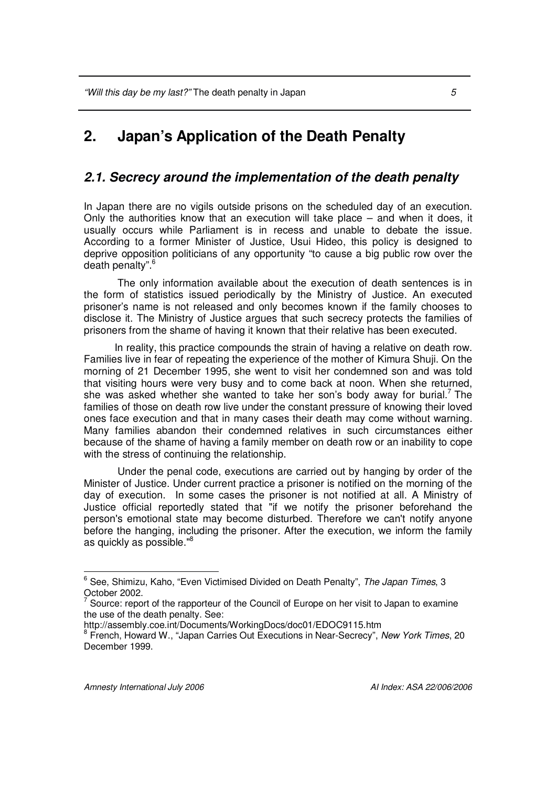## **2. Japan's Application of the Death Penalty**

### *2.1. Secrecy around the implementation of the death penalty*

In Japan there are no vigils outside prisons on the scheduled day of an execution. Only the authorities know that an execution will take place – and when it does, it usually occurs while Parliament is in recess and unable to debate the issue. According to a former Minister of Justice, Usui Hideo, this policy is designed to deprive opposition politicians of any opportunity "to cause a big public row over the death penalty". 6

The only information available about the execution of death sentences is in the form of statistics issued periodically by the Ministry of Justice. An executed prisoner's name is not released and only becomes known if the family chooses to disclose it. The Ministry of Justice argues that such secrecy protects the families of prisoners from the shame of having it known that their relative has been executed.

In reality, this practice compounds the strain of having a relative on death row. Families live in fear of repeating the experience of the mother of Kimura Shuji. On the morning of 21 December 1995, she went to visit her condemned son and was told that visiting hours were very busy and to come back at noon. When she returned, she was asked whether she wanted to take her son's body away for burial.<sup>7</sup> The families of those on death row live under the constant pressure of knowing their loved ones face execution and that in many cases their death may come without warning. Many families abandon their condemned relatives in such circumstances either because of the shame of having a family member on death row or an inability to cope with the stress of continuing the relationship.

Under the penal code, executions are carried out by hanging by order of the Minister of Justice. Under current practice a prisoner is notified on the morning of the day of execution. In some cases the prisoner is not notified at all. A Ministry of Justice official reportedly stated that "if we notify the prisoner beforehand the person's emotional state may become disturbed. Therefore we can't notify anyone before the hanging, including the prisoner. After the execution, we inform the family as quickly as possible." 8

<sup>6</sup> See, Shimizu, Kaho, "Even Victimised Divided on Death Penalty", *The Japan Times*, 3 October 2002.

 $<sup>7</sup>$  Source: report of the rapporteur of the Council of Europe on her visit to Japan to examine the use of the death penalty. See:</sup> the use of the death penalty. See:

http://assembly.coe.int/Documents/WorkingDocs/doc01/EDOC9115.htm 8

French, Howard W., "Japan Carries Out Executions in Near-Secrecy", *New York Times*, 20 December 1999.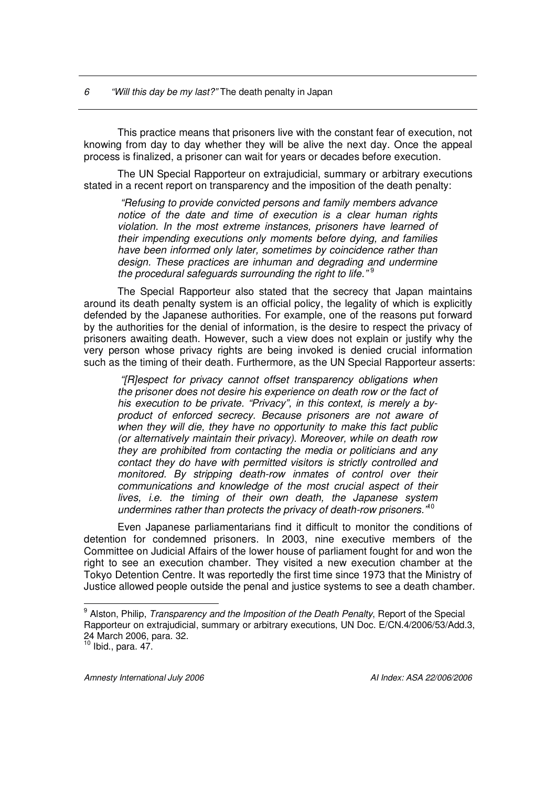This practice means that prisoners live with the constant fear of execution, not knowing from day to day whether they will be alive the next day. Once the appeal process is finalized, a prisoner can wait for years or decades before execution.

The UN Special Rapporteur on extrajudicial, summary or arbitrary executions stated in a recent report on transparency and the imposition of the death penalty:

*"Refusing to provide convicted persons and family members advance notice of the date and time of execution is a clear human rights violation. In the most extreme instances, prisoners have learned of their impending executions only moments before dying, and families have been informed only later, sometimes by coincidence rather than design. These practices are inhuman and degrading and undermine the procedural safeguards surrounding the right to life."* 9

The Special Rapporteur also stated that the secrecy that Japan maintains around its death penalty system is an official policy, the legality of which is explicitly defended by the Japanese authorities. For example, one of the reasons put forward by the authorities for the denial of information, is the desire to respect the privacy of prisoners awaiting death. However, such a view does not explain or justify why the very person whose privacy rights are being invoked is denied crucial information such as the timing of their death. Furthermore, as the UN Special Rapporteur asserts:

*"[R]espect for privacy cannot offset transparency obligations when the prisoner does not desire his experience on death row or the fact of his execution to be private. "Privacy", in this context, is merely a byproduct of enforced secrecy. Because prisoners are not aware of when they will die, they have no opportunity to make this fact public (or alternatively maintain their privacy). Moreover, while on death row they are prohibited from contacting the media or politicians and any contact they do have with permitted visitors is strictly controlled and monitored. By stripping death-row inmates of control over their communications and knowledge of the most crucial aspect of their lives, i.e. the timing of their own death, the Japanese system undermines rather than protects the privacy of death-row prisoners."* 10

Even Japanese parliamentarians find it difficult to monitor the conditions of detention for condemned prisoners. In 2003, nine executive members of the Committee on Judicial Affairs of the lower house of parliament fought for and won the right to see an execution chamber. They visited a new execution chamber at the Tokyo Detention Centre. It was reportedly the first time since 1973 that the Ministry of Justice allowed people outside the penal and justice systems to see a death chamber.

*Amnesty International July 2006 AI Index: ASA 22/006/2006*

<sup>9</sup> Alston, Philip, *Transparency and the Imposition of the Death Penalty*, Report of the Special Rapporteur on extrajudicial, summary or arbitrary executions, UN Doc. E/CN.4/2006/53/Add.3, 24 March 2006, para. 32. 10 Ibid., para. 47.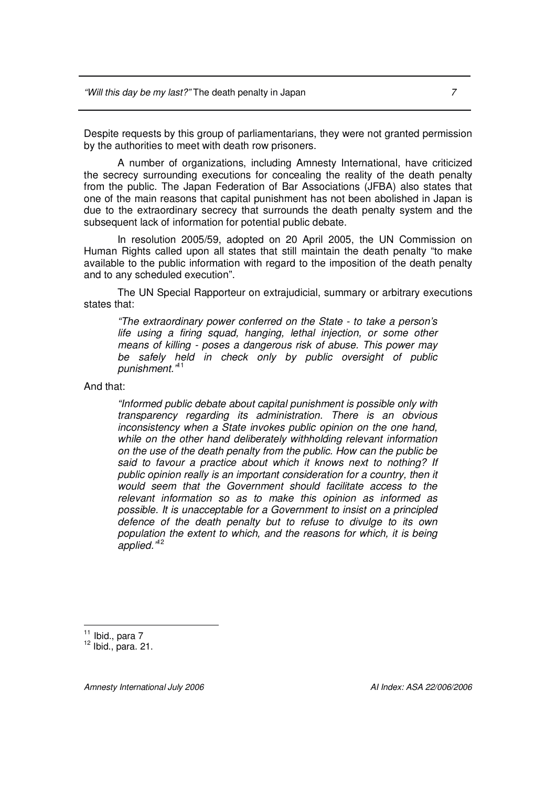Despite requests by this group of parliamentarians, they were not granted permission by the authorities to meet with death row prisoners.

A number of organizations, including Amnesty International, have criticized the secrecy surrounding executions for concealing the reality of the death penalty from the public. The Japan Federation of Bar Associations (JFBA) also states that one of the main reasons that capital punishment has not been abolished in Japan is due to the extraordinary secrecy that surrounds the death penalty system and the subsequent lack of information for potential public debate.

In resolution 2005/59, adopted on 20 April 2005, the UN Commission on Human Rights called upon all states that still maintain the death penalty "to make available to the public information with regard to the imposition of the death penalty and to any scheduled execution".

The UN Special Rapporteur on extrajudicial, summary or arbitrary executions states that:

*"The extraordinary power conferred on the State - to take a person's life using a firing squad, hanging, lethal injection, or some other means of killing - poses a dangerous risk of abuse. This power may be safely held in check only by public oversight of public punishment."* 11

And that:

*"Informed public debate about capital punishment is possible only with transparency regarding its administration. There is an obvious inconsistency when a State invokes public opinion on the one hand, while on the other hand deliberately withholding relevant information on the use of the death penalty from the public. How can the public be said to favour a practice about which it knows next to nothing? If public opinion really is an important consideration for a country, then it would seem that the Government should facilitate access to the relevant information so as to make this opinion as informed as possible. It is unacceptable for a Government to insist on a principled defence of the death penalty but to refuse to divulge to its own population the extent to which, and the reasons for which, it is being applied."* 12

*Amnesty International July 2006 AI Index: ASA 22/006/2006*

 $11$  Ibid., para 7

 $12$  lbid., para. 21.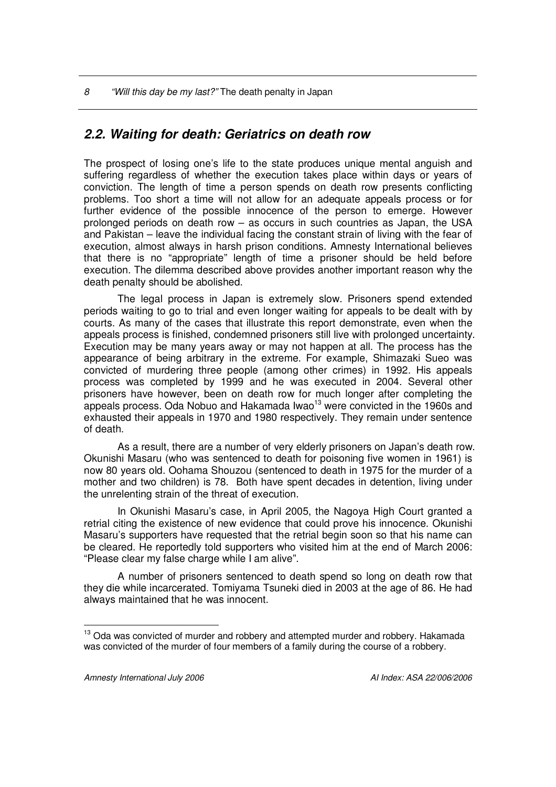### *2.2. Waiting for death: Geriatrics on death row*

The prospect of losing one's life to the state produces unique mental anguish and suffering regardless of whether the execution takes place within days or years of conviction. The length of time a person spends on death row presents conflicting problems. Too short a time will not allow for an adequate appeals process or for further evidence of the possible innocence of the person to emerge. However prolonged periods on death row  $-$  as occurs in such countries as Japan, the USA and Pakistan – leave the individual facing the constant strain of living with the fear of execution, almost always in harsh prison conditions. Amnesty International believes that there is no "appropriate" length of time a prisoner should be held before execution. The dilemma described above provides another important reason why the death penalty should be abolished.

The legal process in Japan is extremely slow. Prisoners spend extended periods waiting to go to trial and even longer waiting for appeals to be dealt with by courts. As many of the cases that illustrate this report demonstrate, even when the appeals process is finished, condemned prisoners still live with prolonged uncertainty. Execution may be many years away or may not happen at all. The process has the appearance of being arbitrary in the extreme. For example, Shimazaki Sueo was convicted of murdering three people (among other crimes) in 1992. His appeals process was completed by 1999 and he was executed in 2004. Several other prisoners have however, been on death row for much longer after completing the appeals process. Oda Nobuo and Hakamada Iwao<sup>13</sup> were convicted in the 1960s and exhausted their appeals in 1970 and 1980 respectively. They remain under sentence of death.

As a result, there are a number of very elderly prisoners on Japan's death row. Okunishi Masaru (who was sentenced to death for poisoning five women in 1961) is now 80 years old. Oohama Shouzou (sentenced to death in 1975 for the murder of a mother and two children) is 78. Both have spent decades in detention, living under the unrelenting strain of the threat of execution.

In Okunishi Masaru's case, in April 2005, the Nagoya High Court granted a retrial citing the existence of new evidence that could prove his innocence. Okunishi Masaru's supporters have requested that the retrial begin soon so that his name can be cleared. He reportedly told supporters who visited him at the end of March 2006: "Please clear my false charge while I am alive".

A number of prisoners sentenced to death spend so long on death row that they die while incarcerated. Tomiyama Tsuneki died in 2003 at the age of 86. He had always maintained that he was innocent.

<sup>&</sup>lt;sup>13</sup> Oda was convicted of murder and robbery and attempted murder and robbery. Hakamada was convicted of the murder of four members of a family during the course of a robbery.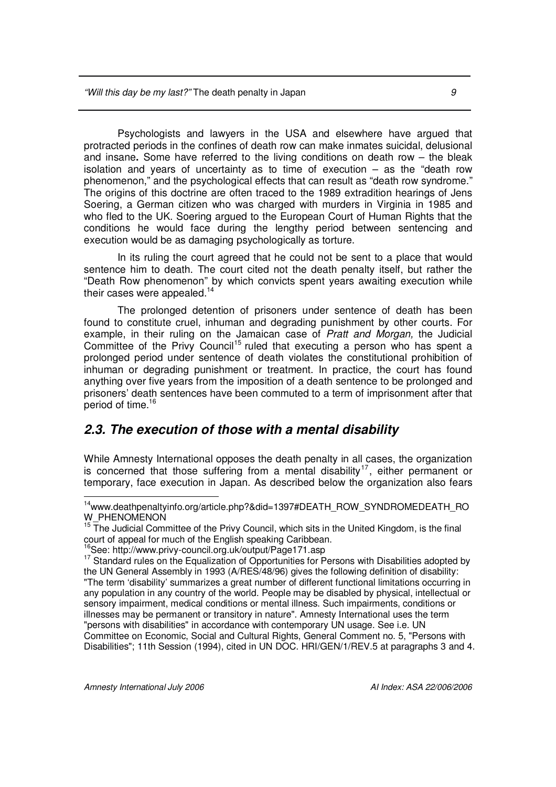Psychologists and lawyers in the USA and elsewhere have argued that protracted periods in the confines of death row can make inmates suicidal, delusional and insane**.** Some have referred to the living conditions on death row – the bleak isolation and years of uncertainty as to time of execution  $-$  as the "death row phenomenon," and the psychological effects that can result as "death row syndrome." The origins of this doctrine are often traced to the 1989 extradition hearings of Jens Soering, a German citizen who was charged with murders in Virginia in 1985 and who fled to the UK. Soering argued to the European Court of Human Rights that the conditions he would face during the lengthy period between sentencing and execution would be as damaging psychologically as torture.

In its ruling the court agreed that he could not be sent to a place that would sentence him to death. The court cited not the death penalty itself, but rather the "Death Row phenomenon" by which convicts spent years awaiting execution while their cases were appealed.<sup>14</sup>

The prolonged detention of prisoners under sentence of death has been found to constitute cruel, inhuman and degrading punishment by other courts. For example, in their ruling on the Jamaican case of *Pratt and Morgan,* the Judicial Committee of the Privy Council<sup>15</sup> ruled that executing a person who has spent a prolonged period under sentence of death violates the constitutional prohibition of inhuman or degrading punishment or treatment. In practice, the court has found anything over five years from the imposition of a death sentence to be prolonged and prisoners' death sentences have been commuted to a term of imprisonment after that period of time. 16

## *2.3. The execution of those with a mental disability*

While Amnesty International opposes the death penalty in all cases, the organization is concerned that those suffering from a mental disability<sup>17</sup>, either permanent or temporary, face execution in Japan. As described below the organization also fears

<sup>14</sup>www.deathpenaltyinfo.org/article.php?&did=1397#DEATH\_ROW\_SYNDROMEDEATH\_RO W\_PHENOMENON

 $15$  The Judicial Committee of the Privy Council, which sits in the United Kingdom, is the final court of appeal for much of the English speaking Caribbean.

<sup>16</sup>See: http://www.privy-council.org.uk/output/Page171.asp

<sup>17</sup> Standard rules on the Equalization of Opportunities for Persons with Disabilities adopted by the UN General Assembly in 1993 (A/RES/48/96) gives the following definition of disability: "The term 'disability' summarizes a great number of different functional limitations occurring in any population in any country of the world. People may be disabled by physical, intellectual or sensory impairment, medical conditions or mental illness. Such impairments, conditions or illnesses may be permanent or transitory in nature". Amnesty International uses the term "persons with disabilities" in accordance with contemporary UN usage. See i.e. UN Committee on Economic, Social and Cultural Rights, General Comment no. 5, "Persons with Disabilities"; 11th Session (1994), cited in UN DOC. HRI/GEN/1/REV.5 at paragraphs 3 and 4.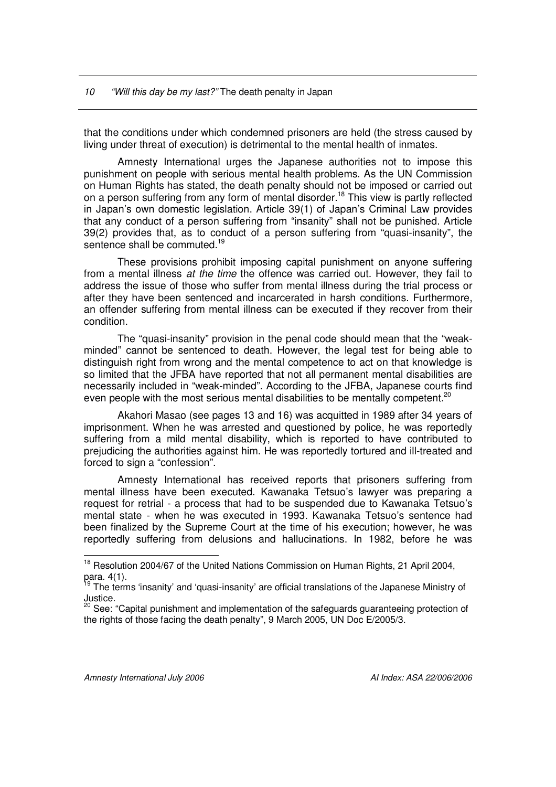that the conditions under which condemned prisoners are held (the stress caused by living under threat of execution) is detrimental to the mental health of inmates.

Amnesty International urges the Japanese authorities not to impose this punishment on people with serious mental health problems. As the UN Commission on Human Rights has stated, the death penalty should not be imposed or carried out on a person suffering from any form of mental disorder.<sup>18</sup> This view is partly reflected in Japan's own domestic legislation. Article 39(1) of Japan's Criminal Law provides that any conduct of a person suffering from "insanity" shall not be punished. Article 39(2) provides that, as to conduct of a person suffering from "quasi-insanity", the sentence shall be commuted.<sup>19</sup>

These provisions prohibit imposing capital punishment on anyone suffering from a mental illness *at the time* the offence was carried out. However, they fail to address the issue of those who suffer from mental illness during the trial process or after they have been sentenced and incarcerated in harsh conditions. Furthermore, an offender suffering from mental illness can be executed if they recover from their condition.

The "quasi-insanity" provision in the penal code should mean that the "weakminded" cannot be sentenced to death. However, the legal test for being able to distinguish right from wrong and the mental competence to act on that knowledge is so limited that the JFBA have reported that not all permanent mental disabilities are necessarily included in "weak-minded". According to the JFBA, Japanese courts find even people with the most serious mental disabilities to be mentally competent.<sup>20</sup>

Akahori Masao (see pages 13 and 16) was acquitted in 1989 after 34 years of imprisonment. When he was arrested and questioned by police, he was reportedly suffering from a mild mental disability, which is reported to have contributed to prejudicing the authorities against him. He was reportedly tortured and ill-treated and forced to sign a "confession".

Amnesty International has received reports that prisoners suffering from mental illness have been executed. Kawanaka Tetsuo's lawyer was preparing a request for retrial - a process that had to be suspended due to Kawanaka Tetsuo's mental state - when he was executed in 1993. Kawanaka Tetsuo's sentence had been finalized by the Supreme Court at the time of his execution; however, he was reportedly suffering from delusions and hallucinations. In 1982, before he was

<sup>&</sup>lt;sup>18</sup> Resolution 2004/67 of the United Nations Commission on Human Rights, 21 April 2004, para. 4(1).<br><sup>19</sup> The tern

The terms 'insanity' and 'quasi-insanity' are official translations of the Japanese Ministry of Justice.

<sup>&</sup>lt;sup>20</sup> See: "Capital punishment and implementation of the safeguards guaranteeing protection of the rights of those facing the death penalty", 9 March 2005, UN Doc E/2005/3.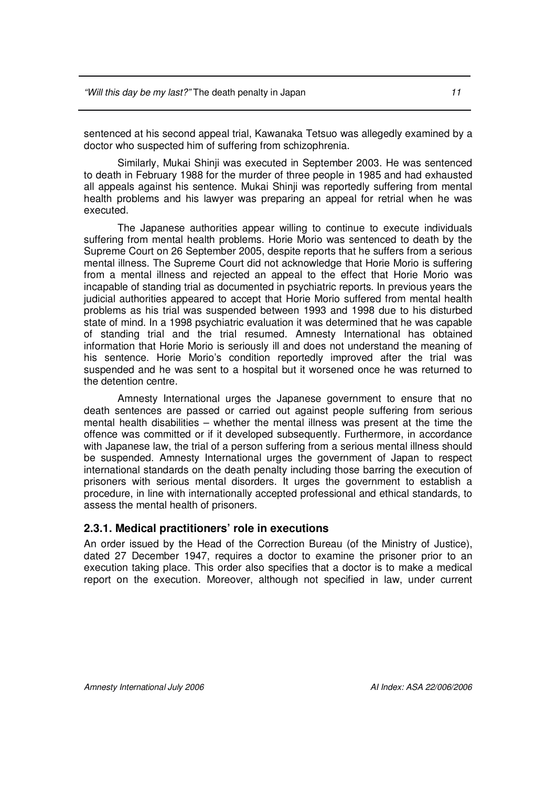sentenced at his second appeal trial, Kawanaka Tetsuo was allegedly examined by a doctor who suspected him of suffering from schizophrenia.

Similarly, Mukai Shinji was executed in September 2003. He was sentenced to death in February 1988 for the murder of three people in 1985 and had exhausted all appeals against his sentence. Mukai Shinji was reportedly suffering from mental health problems and his lawyer was preparing an appeal for retrial when he was executed.

The Japanese authorities appear willing to continue to execute individuals suffering from mental health problems. Horie Morio was sentenced to death by the Supreme Court on 26 September 2005, despite reports that he suffers from a serious mental illness. The Supreme Court did not acknowledge that Horie Morio is suffering from a mental illness and rejected an appeal to the effect that Horie Morio was incapable of standing trial as documented in psychiatric reports. In previous years the judicial authorities appeared to accept that Horie Morio suffered from mental health problems as his trial was suspended between 1993 and 1998 due to his disturbed state of mind. In a 1998 psychiatric evaluation it was determined that he was capable of standing trial and the trial resumed. Amnesty International has obtained information that Horie Morio is seriously ill and does not understand the meaning of his sentence. Horie Morio's condition reportedly improved after the trial was suspended and he was sent to a hospital but it worsened once he was returned to the detention centre.

Amnesty International urges the Japanese government to ensure that no death sentences are passed or carried out against people suffering from serious mental health disabilities – whether the mental illness was present at the time the offence was committed or if it developed subsequently. Furthermore, in accordance with Japanese law, the trial of a person suffering from a serious mental illness should be suspended. Amnesty International urges the government of Japan to respect international standards on the death penalty including those barring the execution of prisoners with serious mental disorders. It urges the government to establish a procedure, in line with internationally accepted professional and ethical standards, to assess the mental health of prisoners.

### **2.3.1. Medical practitioners' role in executions**

An order issued by the Head of the Correction Bureau (of the Ministry of Justice), dated 27 December 1947, requires a doctor to examine the prisoner prior to an execution taking place. This order also specifies that a doctor is to make a medical report on the execution. Moreover, although not specified in law, under current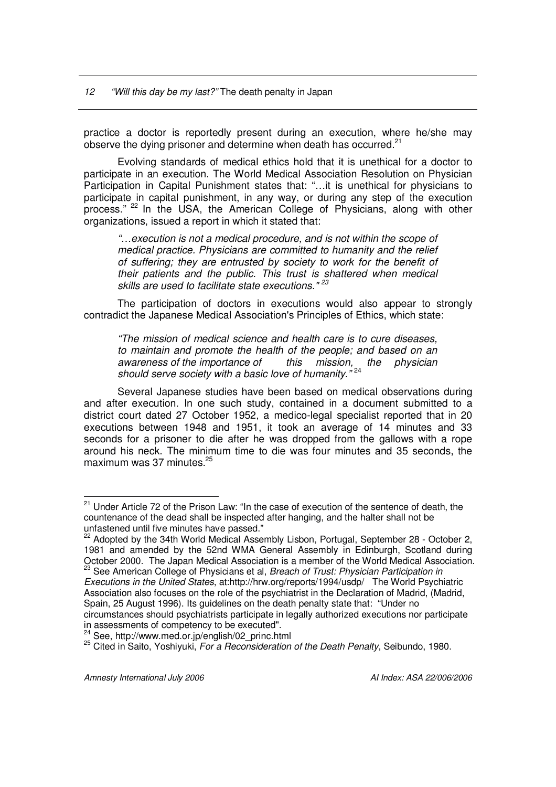practice a doctor is reportedly present during an execution, where he/she may observe the dying prisoner and determine when death has occurred.<sup>21</sup>

Evolving standards of medical ethics hold that it is unethical for a doctor to participate in an execution. The World Medical Association Resolution on Physician Participation in Capital Punishment states that: "…it is unethical for physicians to participate in capital punishment, in any way, or during any step of the execution process." <sup>22</sup> In the USA, the American College of Physicians, along with other organizations, issued a report in which it stated that:

*"…execution is not a medical procedure, and is not within the scope of medical practice. Physicians are committed to humanity and the relief of suffering; they are entrusted by society to work for the benefit of their patients and the public. This trust is shattered when medical skills are used to facilitate state executions." 23*

The participation of doctors in executions would also appear to strongly contradict the Japanese Medical Association's Principles of Ethics, which state:

*"The mission of medical science and health care is to cure diseases, to maintain and promote the health of the people; and based on an awareness of the importance of this mission, the physician should serve society with a basic love of humanity."* 24

Several Japanese studies have been based on medical observations during and after execution. In one such study, contained in a document submitted to a district court dated 27 October 1952, a medico-legal specialist reported that in 20 executions between 1948 and 1951, it took an average of 14 minutes and 33 seconds for a prisoner to die after he was dropped from the gallows with a rope around his neck. The minimum time to die was four minutes and 35 seconds, the maximum was 37 minutes. 25

 $21$  Under Article 72 of the Prison Law: "In the case of execution of the sentence of death, the countenance of the dead shall be inspected after hanging, and the halter shall not be unfastened until five minutes have passed."

 $22$  Adopted by the 34th World Medical Assembly Lisbon, Portugal, September 28 - October 2, 1981 and amended by the 52nd WMA General Assembly in Edinburgh, Scotland during October 2000. The Japan Medical Association is a member of the World Medical Association. <sup>23</sup> See American College of Physicians et al, *Breach of Trust: Physician Participation in Executions in the United States*, at:http://hrw.org/reports/1994/usdp/ The World Psychiatric Association also focuses on the role of the psychiatrist in the Declaration of Madrid, (Madrid, Spain, 25 August 1996). Its guidelines on the death penalty state that: "Under no

circumstances should psychiatrists participate in legally authorized executions nor participate in assessments of competency to be executed".

See, http://www.med.or.jp/english/02\_princ.html

<sup>25</sup> Cited in Saito, Yoshiyuki, *For a Reconsideration of the Death Penalty*, Seibundo, 1980.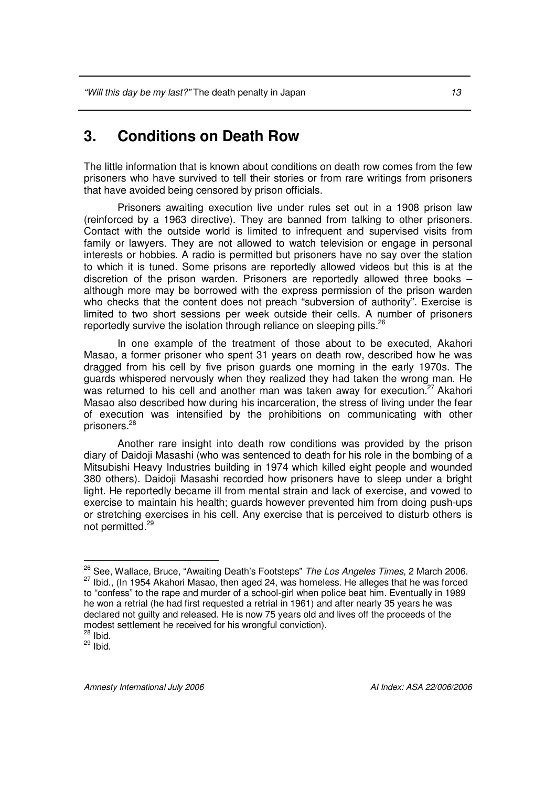## **3. Conditions on Death Row**

The little information that is known about conditions on death row comes from the few prisoners who have survived to tell their stories or from rare writings from prisoners that have avoided being censored by prison officials.

Prisoners awaiting execution live under rules set out in a 1908 prison law (reinforced by a 1963 directive). They are banned from talking to other prisoners. Contact with the outside world is limited to infrequent and supervised visits from family or lawyers. They are not allowed to watch television or engage in personal interests or hobbies. A radio is permitted but prisoners have no say over the station to which it is tuned. Some prisons are reportedly allowed videos but this is at the discretion of the prison warden. Prisoners are reportedly allowed three books – although more may be borrowed with the express permission of the prison warden who checks that the content does not preach "subversion of authority". Exercise is limited to two short sessions per week outside their cells. A number of prisoners reportedly survive the isolation through reliance on sleeping pills.<sup>26</sup>

In one example of the treatment of those about to be executed, Akahori Masao, a former prisoner who spent 31 years on death row, described how he was dragged from his cell by five prison guards one morning in the early 1970s. The guards whispered nervously when they realized they had taken the wrong man. He was returned to his cell and another man was taken away for execution.<sup>27</sup> Akahori Masao also described how during his incarceration, the stress of living under the fear of execution was intensified by the prohibitions on communicating with other prisoners. 28

Another rare insight into death row conditions was provided by the prison diary of Daidoji Masashi (who was sentenced to death for his role in the bombing of a Mitsubishi Heavy Industries building in 1974 which killed eight people and wounded 380 others). Daidoji Masashi recorded how prisoners have to sleep under a bright light. He reportedly became ill from mental strain and lack of exercise, and vowed to exercise to maintain his health; guards however prevented him from doing push-ups or stretching exercises in his cell. Any exercise that is perceived to disturb others is not permitted. 29

<sup>26</sup> See, Wallace, Bruce, "Awaiting Death's Footsteps" *The Los Angeles Times*, 2 March 2006.  $27$  Ibid., (In 1954 Akahori Masao, then aged 24, was homeless. He alleges that he was forced to "confess" to the rape and murder of a school-girl when police beat him. Eventually in 1989 he won a retrial (he had first requested a retrial in 1961) and after nearly 35 years he was declared not guilty and released. He is now 75 years old and lives off the proceeds of the modest settlement he received for his wrongful conviction).<br><sup>28</sup> Ibid.

<sup>&</sup>lt;sup>29</sup> Ibid.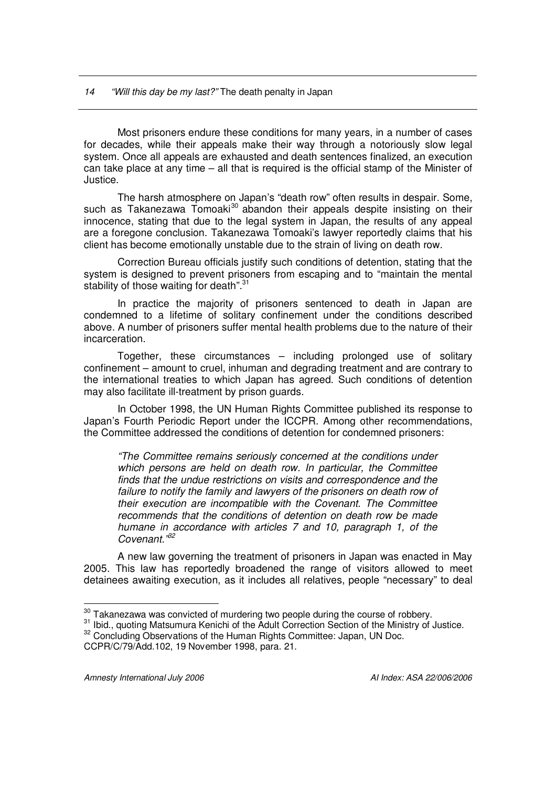Most prisoners endure these conditions for many years, in a number of cases for decades, while their appeals make their way through a notoriously slow legal system. Once all appeals are exhausted and death sentences finalized, an execution can take place at any time – all that is required is the official stamp of the Minister of Justice.

The harsh atmosphere on Japan's "death row" often results in despair. Some, such as Takanezawa Tomoaki<sup>30</sup> abandon their appeals despite insisting on their innocence, stating that due to the legal system in Japan, the results of any appeal are a foregone conclusion. Takanezawa Tomoaki's lawyer reportedly claims that his client has become emotionally unstable due to the strain of living on death row.

Correction Bureau officials justify such conditions of detention, stating that the system is designed to prevent prisoners from escaping and to "maintain the mental stability of those waiting for death".<sup>31</sup>

In practice the majority of prisoners sentenced to death in Japan are condemned to a lifetime of solitary confinement under the conditions described above. A number of prisoners suffer mental health problems due to the nature of their incarceration.

Together, these circumstances – including prolonged use of solitary confinement – amount to cruel, inhuman and degrading treatment and are contrary to the international treaties to which Japan has agreed. Such conditions of detention may also facilitate ill-treatment by prison guards.

In October 1998, the UN Human Rights Committee published its response to Japan's Fourth Periodic Report under the ICCPR. Among other recommendations, the Committee addressed the conditions of detention for condemned prisoners:

*"The Committee remains seriously concerned at the conditions under which persons are held on death row. In particular, the Committee finds that the undue restrictions on visits and correspondence and the failure to notify the family and lawyers of the prisoners on death row of their execution are incompatible with the Covenant. The Committee recommends that the conditions of detention on death row be made humane in accordance with articles 7 and 10, paragraph 1, of the Covenant." 32*

A new law governing the treatment of prisoners in Japan was enacted in May 2005. This law has reportedly broadened the range of visitors allowed to meet detainees awaiting execution, as it includes all relatives, people "necessary" to deal

*Amnesty International July 2006 AI Index: ASA 22/006/2006*

 $30$  Takanezawa was convicted of murdering two people during the course of robbery.

<sup>&</sup>lt;sup>31</sup> Ibid., quoting Matsumura Kenichi of the Adult Correction Section of the Ministry of Justice.

<sup>&</sup>lt;sup>32</sup> Concluding Observations of the Human Rights Committee: Japan, UN Doc. CCPR/C/79/Add.102, 19 November 1998, para. 21.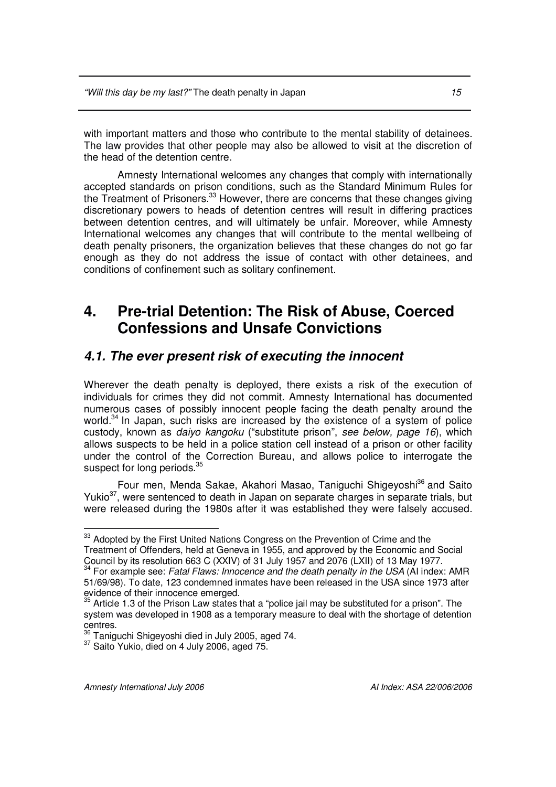with important matters and those who contribute to the mental stability of detainees. The law provides that other people may also be allowed to visit at the discretion of the head of the detention centre.

Amnesty International welcomes any changes that comply with internationally accepted standards on prison conditions, such as the Standard Minimum Rules for the Treatment of Prisoners.<sup>33</sup> However, there are concerns that these changes giving discretionary powers to heads of detention centres will result in differing practices between detention centres, and will ultimately be unfair. Moreover, while Amnesty International welcomes any changes that will contribute to the mental wellbeing of death penalty prisoners, the organization believes that these changes do not go far enough as they do not address the issue of contact with other detainees, and conditions of confinement such as solitary confinement.

## **4. Pre-trial Detention: The Risk of Abuse, Coerced Confessions and Unsafe Convictions**

## *4.1. The ever present risk of executing the innocent*

Wherever the death penalty is deployed, there exists a risk of the execution of individuals for crimes they did not commit. Amnesty International has documented numerous cases of possibly innocent people facing the death penalty around the world.<sup>34</sup> In Japan, such risks are increased by the existence of a system of police custody, known as *daiyo kangoku* ("substitute prison", *see below, page 16*), which allows suspects to be held in a police station cell instead of a prison or other facility under the control of the Correction Bureau, and allows police to interrogate the suspect for long periods.<sup>35</sup>

Four men, Menda Sakae, Akahori Masao, Taniguchi Shigeyoshi<sup>36</sup> and Saito Yukio<sup>37</sup>, were sentenced to death in Japan on separate charges in separate trials, but were released during the 1980s after it was established they were falsely accused.

<sup>&</sup>lt;sup>33</sup> Adopted by the First United Nations Congress on the Prevention of Crime and the Treatment of Offenders, held at Geneva in 1955, and approved by the Economic and Social Council by its resolution 663 C (XXIV) of 31 July 1957 and 2076 (LXII) of 13 May 1977.<br><sup>34</sup> For example see: *Fatal Flaws: Innocence and the death penalty in the USA* (AI index: AMR

<sup>51/69/98).</sup> To date, 123 condemned inmates have been released in the USA since 1973 after evidence of their innocence emerged.

Article 1.3 of the Prison Law states that a "police jail may be substituted for a prison". The system was developed in 1908 as a temporary measure to deal with the shortage of detention centres.<br><sup>36</sup> Tenig

 $6$  Taniguchi Shigeyoshi died in July 2005, aged 74.

<sup>&</sup>lt;sup>37</sup> Saito Yukio, died on 4 July 2006, aged 75.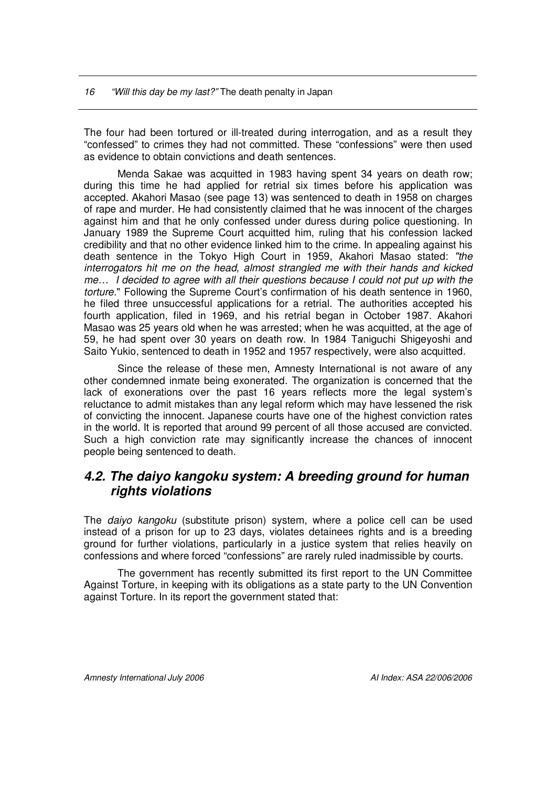The four had been tortured or ill-treated during interrogation, and as a result they "confessed" to crimes they had not committed. These "confessions" were then used as evidence to obtain convictions and death sentences.

Menda Sakae was acquitted in 1983 having spent 34 years on death row; during this time he had applied for retrial six times before his application was accepted. Akahori Masao (see page 13) was sentenced to death in 1958 on charges of rape and murder. He had consistently claimed that he was innocent of the charges against him and that he only confessed under duress during police questioning. In January 1989 the Supreme Court acquitted him, ruling that his confession lacked credibility and that no other evidence linked him to the crime. In appealing against his death sentence in the Tokyo High Court in 1959, Akahori Masao stated: *"the interrogators hit me on the head, almost strangled me with their hands and kicked me… I decided to agree with all their questions because I could not put up with the torture.*" Following the Supreme Court's confirmation of his death sentence in 1960, he filed three unsuccessful applications for a retrial. The authorities accepted his fourth application, filed in 1969, and his retrial began in October 1987. Akahori Masao was 25 years old when he was arrested; when he was acquitted, at the age of 59, he had spent over 30 years on death row. In 1984 Taniguchi Shigeyoshi and Saito Yukio, sentenced to death in 1952 and 1957 respectively, were also acquitted.

Since the release of these men, Amnesty International is not aware of any other condemned inmate being exonerated. The organization is concerned that the lack of exonerations over the past 16 years reflects more the legal system's reluctance to admit mistakes than any legal reform which may have lessened the risk of convicting the innocent. Japanese courts have one of the highest conviction rates in the world. It is reported that around 99 percent of all those accused are convicted. Such a high conviction rate may significantly increase the chances of innocent people being sentenced to death.

### *4.2. The daiyo kangoku system: A breeding ground for human rights violations*

The *daiyo kangoku* (substitute prison) system, where a police cell can be used instead of a prison for up to 23 days, violates detainees rights and is a breeding ground for further violations, particularly in a justice system that relies heavily on confessions and where forced "confessions" are rarely ruled inadmissible by courts.

The government has recently submitted its first report to the UN Committee Against Torture, in keeping with its obligations as a state party to the UN Convention against Torture. In its report the government stated that: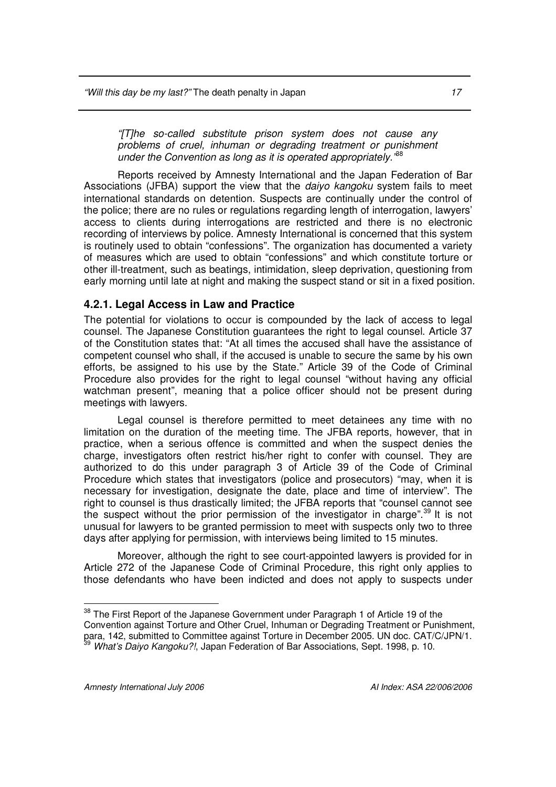*"[T]he so-called substitute prison system does not cause any problems of cruel, inhuman or degrading treatment or punishment under the Convention as long as it is operated appropriately."* 38

Reports received by Amnesty International and the Japan Federation of Bar Associations (JFBA) support the view that the *daiyo kangoku* system fails to meet international standards on detention. Suspects are continually under the control of the police; there are no rules or regulations regarding length of interrogation, lawyers' access to clients during interrogations are restricted and there is no electronic recording of interviews by police. Amnesty International is concerned that this system is routinely used to obtain "confessions". The organization has documented a variety of measures which are used to obtain "confessions" and which constitute torture or other ill-treatment, such as beatings, intimidation, sleep deprivation, questioning from early morning until late at night and making the suspect stand or sit in a fixed position.

### **4.2.1. Legal Access in Law and Practice**

The potential for violations to occur is compounded by the lack of access to legal counsel. The Japanese Constitution guarantees the right to legal counsel. Article 37 of the Constitution states that: "At all times the accused shall have the assistance of competent counsel who shall, if the accused is unable to secure the same by his own efforts, be assigned to his use by the State." Article 39 of the Code of Criminal Procedure also provides for the right to legal counsel "without having any official watchman present", meaning that a police officer should not be present during meetings with lawyers.

Legal counsel is therefore permitted to meet detainees any time with no limitation on the duration of the meeting time. The JFBA reports, however, that in practice, when a serious offence is committed and when the suspect denies the charge, investigators often restrict his/her right to confer with counsel. They are authorized to do this under paragraph 3 of Article 39 of the Code of Criminal Procedure which states that investigators (police and prosecutors) "may, when it is necessary for investigation, designate the date, place and time of interview". The right to counsel is thus drastically limited; the JFBA reports that "counsel cannot see the suspect without the prior permission of the investigator in charge".<sup>39</sup> It is not unusual for lawyers to be granted permission to meet with suspects only two to three days after applying for permission, with interviews being limited to 15 minutes.

Moreover, although the right to see court-appointed lawyers is provided for in Article 272 of the Japanese Code of Criminal Procedure, this right only applies to those defendants who have been indicted and does not apply to suspects under

<sup>&</sup>lt;sup>38</sup> The First Report of the Japanese Government under Paragraph 1 of Article 19 of the Convention against Torture and Other Cruel, Inhuman or Degrading Treatment or Punishment, para, 142, submitted to Committee against Torture in December 2005. UN doc. CAT/C/JPN/1. <sup>39</sup> *What's Daiyo Kangoku?!*, Japan Federation of Bar Associations, Sept. 1998, p. 10.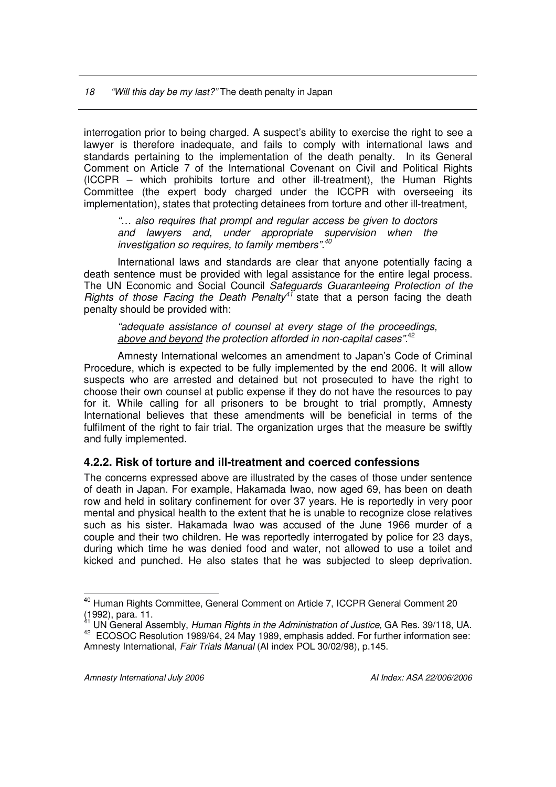interrogation prior to being charged. A suspect's ability to exercise the right to see a lawyer is therefore inadequate, and fails to comply with international laws and standards pertaining to the implementation of the death penalty. In its General Comment on Article 7 of the International Covenant on Civil and Political Rights (ICCPR – which prohibits torture and other ill-treatment), the Human Rights Committee (the expert body charged under the ICCPR with overseeing its implementation), states that protecting detainees from torture and other ill-treatment,

*"… also requires that prompt and regular access be given to doctors and lawyers and, under appropriate supervision when the investigation so requires, to family members". 40*

International laws and standards are clear that anyone potentially facing a death sentence must be provided with legal assistance for the entire legal process. The UN Economic and Social Council *Safeguards Guaranteeing Protection of the Rights of those Facing the Death Penalty 41* state that a person facing the death penalty should be provided with:

*"adequate assistance of counsel at every stage of the proceedings, above and beyond the protection afforded in non-capital cases".* 42

Amnesty International welcomes an amendment to Japan's Code of Criminal Procedure, which is expected to be fully implemented by the end 2006. It will allow suspects who are arrested and detained but not prosecuted to have the right to choose their own counsel at public expense if they do not have the resources to pay for it. While calling for all prisoners to be brought to trial promptly, Amnesty International believes that these amendments will be beneficial in terms of the fulfilment of the right to fair trial. The organization urges that the measure be swiftly and fully implemented.

### **4.2.2. Risk of torture and ill-treatment and coerced confessions**

The concerns expressed above are illustrated by the cases of those under sentence of death in Japan. For example, Hakamada Iwao, now aged 69, has been on death row and held in solitary confinement for over 37 years. He is reportedly in very poor mental and physical health to the extent that he is unable to recognize close relatives such as his sister. Hakamada Iwao was accused of the June 1966 murder of a couple and their two children. He was reportedly interrogated by police for 23 days, during which time he was denied food and water, not allowed to use a toilet and kicked and punched. He also states that he was subjected to sleep deprivation.

<sup>&</sup>lt;sup>40</sup> Human Rights Committee, General Comment on Article 7, ICCPR General Comment 20  $(1992)$ , para. 11.

<sup>41</sup> UN General Assembly, *Human Rights in the Administration of Justice,* GA Res. 39/118, UA. <sup>42</sup> ECOSOC Resolution 1989/64, 24 May 1989, emphasis added. For further information see: Amnesty International, *Fair Trials Manual* (AI index POL 30/02/98), p.145.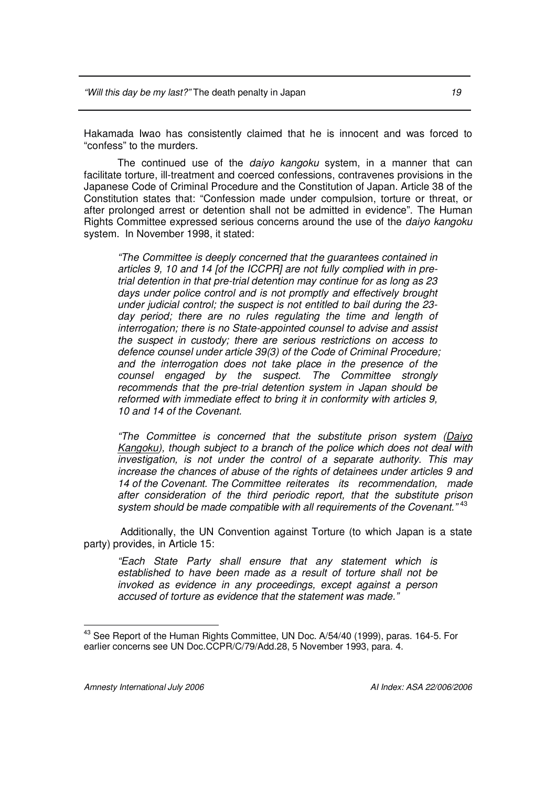Hakamada Iwao has consistently claimed that he is innocent and was forced to "confess" to the murders.

The continued use of the *daiyo kangoku* system, in a manner that can facilitate torture, ill-treatment and coerced confessions, contravenes provisions in the Japanese Code of Criminal Procedure and the Constitution of Japan. Article 38 of the Constitution states that: "Confession made under compulsion, torture or threat, or after prolonged arrest or detention shall not be admitted in evidence". The Human Rights Committee expressed serious concerns around the use of the *daiyo kangoku* system. In November 1998, it stated:

*"The Committee is deeply concerned that the guarantees contained in articles 9, 10 and 14 [of the ICCPR] are not fully complied with in pretrial detention in that pre-trial detention may continue for as long as 23 days under police control and is not promptly and effectively brought under judicial control; the suspect is not entitled to bail during the 23 day period; there are no rules regulating the time and length of interrogation; there is no State-appointed counsel to advise and assist the suspect in custody; there are serious restrictions on access to defence counsel under article 39(3) of the Code of Criminal Procedure; and the interrogation does not take place in the presence of the counsel engaged by the suspect. The Committee strongly recommends that the pre-trial detention system in Japan should be reformed with immediate effect to bring it in conformity with articles 9, 10 and 14 of the Covenant.*

*"The Committee is concerned that the substitute prison system (Daiyo Kangoku), though subject to a branch of the police which does not deal with investigation, is not under the control of a separate authority. This may increase the chances of abuse of the rights of detainees under articles 9 and 14 of the Covenant. The Committee reiterates its recommendation, made after consideration of the third periodic report, that the substitute prison system should be made compatible with all requirements of the Covenant."* 43

Additionally, the UN Convention against Torture (to which Japan is a state party) provides, in Article 15:

*"Each State Party shall ensure that any statement which is established to have been made as a result of torture shall not be invoked as evidence in any proceedings, except against a person accused of torture as evidence that the statement was made."*

<sup>&</sup>lt;sup>43</sup> See Report of the Human Rights Committee, UN Doc. A/54/40 (1999), paras. 164-5. For earlier concerns see UN Doc.CCPR/C/79/Add.28, 5 November 1993, para. 4.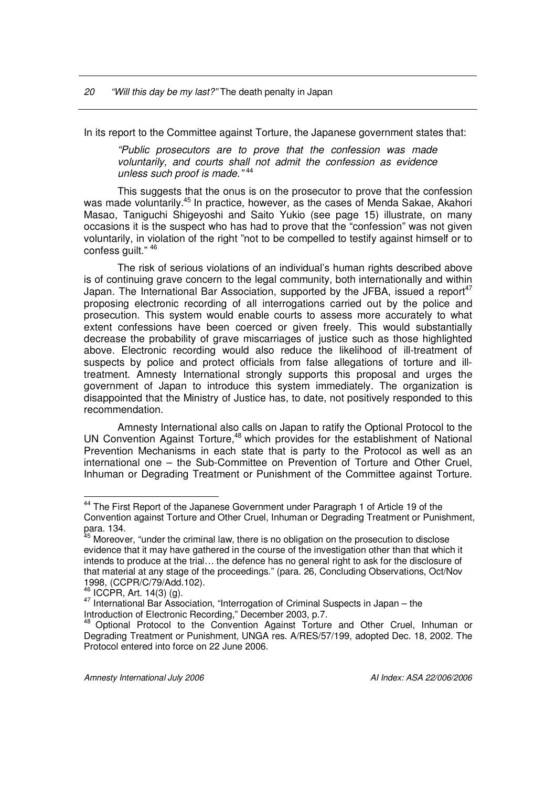In its report to the Committee against Torture, the Japanese government states that:

*"Public prosecutors are to prove that the confession was made voluntarily, and courts shall not admit the confession as evidence unless such proof is made."* 44

This suggests that the onus is on the prosecutor to prove that the confession was made voluntarily.<sup>45</sup> In practice, however, as the cases of Menda Sakae, Akahori Masao, Taniguchi Shigeyoshi and Saito Yukio (see page 15) illustrate, on many occasions it is the suspect who has had to prove that the "confession" was not given voluntarily, in violation of the right "not to be compelled to testify against himself or to confess guilt." <sup>46</sup>

The risk of serious violations of an individual's human rights described above is of continuing grave concern to the legal community, both internationally and within Japan. The International Bar Association, supported by the JFBA, issued a report<sup>47</sup> proposing electronic recording of all interrogations carried out by the police and prosecution. This system would enable courts to assess more accurately to what extent confessions have been coerced or given freely. This would substantially decrease the probability of grave miscarriages of justice such as those highlighted above. Electronic recording would also reduce the likelihood of ill-treatment of suspects by police and protect officials from false allegations of torture and illtreatment. Amnesty International strongly supports this proposal and urges the government of Japan to introduce this system immediately. The organization is disappointed that the Ministry of Justice has, to date, not positively responded to this recommendation.

Amnesty International also calls on Japan to ratify the Optional Protocol to the UN Convention Against Torture,<sup>48</sup> which provides for the establishment of National Prevention Mechanisms in each state that is party to the Protocol as well as an international one – the Sub-Committee on Prevention of Torture and Other Cruel, Inhuman or Degrading Treatment or Punishment of the Committee against Torture.

<sup>&</sup>lt;sup>44</sup> The First Report of the Japanese Government under Paragraph 1 of Article 19 of the Convention against Torture and Other Cruel, Inhuman or Degrading Treatment or Punishment, para. 134.

Moreover, "under the criminal law, there is no obligation on the prosecution to disclose evidence that it may have gathered in the course of the investigation other than that which it intends to produce at the trial… the defence has no general right to ask for the disclosure of that material at any stage of the proceedings." (para. 26, Concluding Observations, Oct/Nov 1998, (CCPR/C/79/Add.102).<br><sup>46</sup> ICCBB Art 14(2) (a)

 $ICCPR$ , Art. 14(3) (g).

<sup>&</sup>lt;sup>47</sup> International Bar Association, "Interrogation of Criminal Suspects in Japan - the Introduction of Electronic Recording," December 2003, p.7.

<sup>48</sup> Optional Protocol to the Convention Against Torture and Other Cruel, Inhuman or Degrading Treatment or Punishment, UNGA res. A/RES/57/199, adopted Dec. 18, 2002. The Protocol entered into force on 22 June 2006.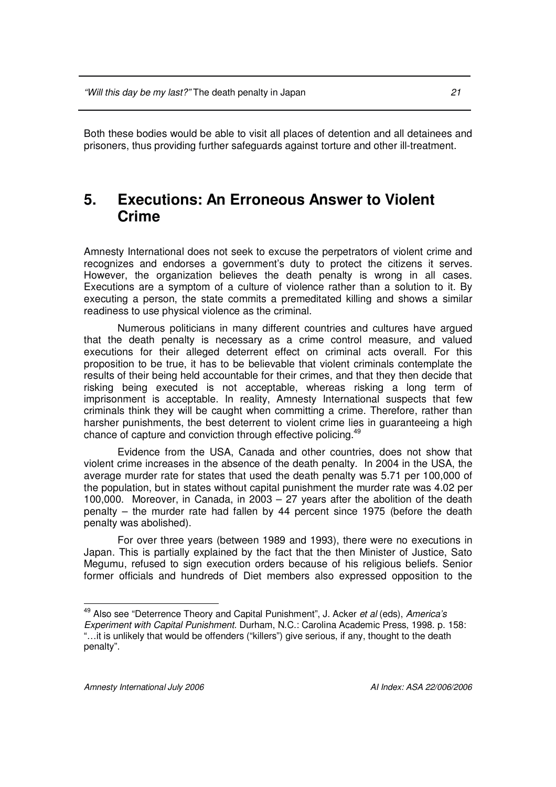Both these bodies would be able to visit all places of detention and all detainees and prisoners, thus providing further safeguards against torture and other ill-treatment.

## **5. Executions: An Erroneous Answer to Violent Crime**

Amnesty International does not seek to excuse the perpetrators of violent crime and recognizes and endorses a government's duty to protect the citizens it serves. However, the organization believes the death penalty is wrong in all cases. Executions are a symptom of a culture of violence rather than a solution to it. By executing a person, the state commits a premeditated killing and shows a similar readiness to use physical violence as the criminal.

Numerous politicians in many different countries and cultures have argued that the death penalty is necessary as a crime control measure, and valued executions for their alleged deterrent effect on criminal acts overall. For this proposition to be true, it has to be believable that violent criminals contemplate the results of their being held accountable for their crimes, and that they then decide that risking being executed is not acceptable, whereas risking a long term of imprisonment is acceptable. In reality, Amnesty International suspects that few criminals think they will be caught when committing a crime. Therefore, rather than harsher punishments, the best deterrent to violent crime lies in guaranteeing a high chance of capture and conviction through effective policing.<sup>49</sup>

Evidence from the USA, Canada and other countries, does not show that violent crime increases in the absence of the death penalty. In 2004 in the USA, the average murder rate for states that used the death penalty was 5.71 per 100,000 of the population, but in states without capital punishment the murder rate was 4.02 per 100,000. Moreover, in Canada, in 2003 – 27 years after the abolition of the death penalty – the murder rate had fallen by 44 percent since 1975 (before the death penalty was abolished).

For over three years (between 1989 and 1993), there were no executions in Japan. This is partially explained by the fact that the then Minister of Justice, Sato Megumu, refused to sign execution orders because of his religious beliefs. Senior former officials and hundreds of Diet members also expressed opposition to the

<sup>49</sup> Also see "Deterrence Theory and Capital Punishment", J. Acker *et al* (eds), *America's Experiment with Capital Punishment.* Durham, N.C.: Carolina Academic Press, 1998. p. 158: "…it is unlikely that would be offenders ("killers") give serious, if any, thought to the death penalty".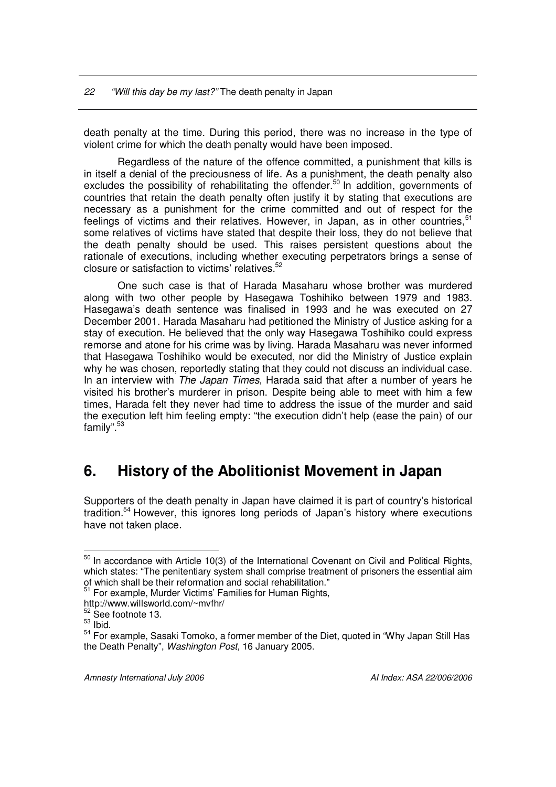death penalty at the time. During this period, there was no increase in the type of violent crime for which the death penalty would have been imposed.

Regardless of the nature of the offence committed, a punishment that kills is in itself a denial of the preciousness of life. As a punishment, the death penalty also excludes the possibility of rehabilitating the offender.<sup>50</sup> In addition, governments of countries that retain the death penalty often justify it by stating that executions are necessary as a punishment for the crime committed and out of respect for the feelings of victims and their relatives. However, in Japan, as in other countries,<sup>51</sup> some relatives of victims have stated that despite their loss, they do not believe that the death penalty should be used. This raises persistent questions about the rationale of executions, including whether executing perpetrators brings a sense of closure or satisfaction to victims' relatives. 52

One such case is that of Harada Masaharu whose brother was murdered along with two other people by Hasegawa Toshihiko between 1979 and 1983. Hasegawa's death sentence was finalised in 1993 and he was executed on 27 December 2001. Harada Masaharu had petitioned the Ministry of Justice asking for a stay of execution. He believed that the only way Hasegawa Toshihiko could express remorse and atone for his crime was by living. Harada Masaharu was never informed that Hasegawa Toshihiko would be executed, nor did the Ministry of Justice explain why he was chosen, reportedly stating that they could not discuss an individual case. In an interview with *The Japan Times*, Harada said that after a number of years he visited his brother's murderer in prison. Despite being able to meet with him a few times, Harada felt they never had time to address the issue of the murder and said the execution left him feeling empty: "the execution didn't help (ease the pain) of our family". 53

## **6. History of the Abolitionist Movement in Japan**

Supporters of the death penalty in Japan have claimed it is part of country's historical tradition. <sup>54</sup> However, this ignores long periods of Japan's history where executions have not taken place.

 $50$  In accordance with Article 10(3) of the International Covenant on Civil and Political Rights, which states: "The penitentiary system shall comprise treatment of prisoners the essential aim of which shall be their reformation and social rehabilitation."<br><sup>51</sup> For example, Murder Victims' Families for Human Rights,

http://www.willsworld.com/~mvfhr/

<sup>52</sup> See footnote 13.

 $\frac{53}{1}$  lbid.

<sup>&</sup>lt;sup>54</sup> For example, Sasaki Tomoko, a former member of the Diet, quoted in "Why Japan Still Has the Death Penalty", *Washington Post,* 16 January 2005.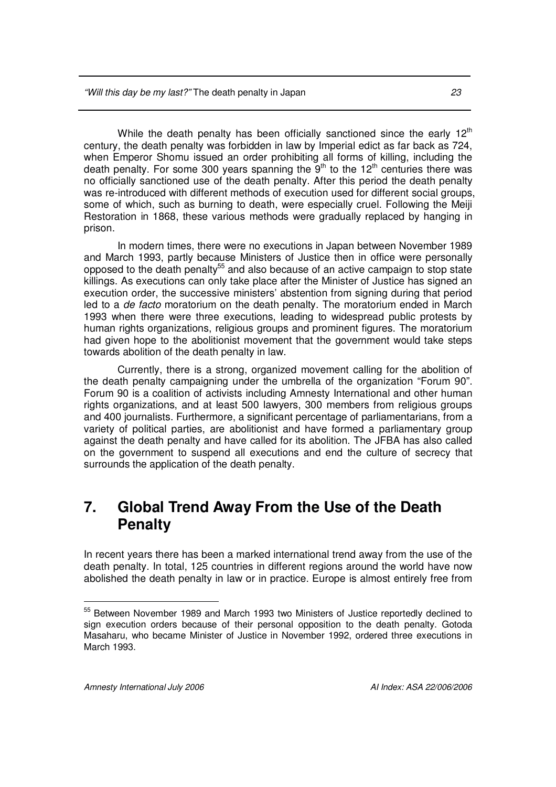While the death penalty has been officially sanctioned since the early  $12<sup>th</sup>$ century, the death penalty was forbidden in law by Imperial edict as far back as 724, when Emperor Shomu issued an order prohibiting all forms of killing, including the death penalty. For some 300 years spanning the  $9<sup>th</sup>$  to the 12<sup>th</sup> centuries there was no officially sanctioned use of the death penalty. After this period the death penalty was re-introduced with different methods of execution used for different social groups, some of which, such as burning to death, were especially cruel. Following the Meiji Restoration in 1868, these various methods were gradually replaced by hanging in prison.

In modern times, there were no executions in Japan between November 1989 and March 1993, partly because Ministers of Justice then in office were personally opposed to the death penalty<sup>55</sup> and also because of an active campaign to stop state killings. As executions can only take place after the Minister of Justice has signed an execution order, the successive ministers' abstention from signing during that period led to a *de facto* moratorium on the death penalty. The moratorium ended in March 1993 when there were three executions, leading to widespread public protests by human rights organizations, religious groups and prominent figures. The moratorium had given hope to the abolitionist movement that the government would take steps towards abolition of the death penalty in law.

Currently, there is a strong, organized movement calling for the abolition of the death penalty campaigning under the umbrella of the organization "Forum 90". Forum 90 is a coalition of activists including Amnesty International and other human rights organizations, and at least 500 lawyers, 300 members from religious groups and 400 journalists. Furthermore, a significant percentage of parliamentarians, from a variety of political parties, are abolitionist and have formed a parliamentary group against the death penalty and have called for its abolition. The JFBA has also called on the government to suspend all executions and end the culture of secrecy that surrounds the application of the death penalty.

## **7. Global Trend Away From the Use of the Death Penalty**

In recent years there has been a marked international trend away from the use of the death penalty. In total, 125 countries in different regions around the world have now abolished the death penalty in law or in practice. Europe is almost entirely free from

<sup>&</sup>lt;sup>55</sup> Between November 1989 and March 1993 two Ministers of Justice reportedly declined to sign execution orders because of their personal opposition to the death penalty. Gotoda Masaharu, who became Minister of Justice in November 1992, ordered three executions in March 1993.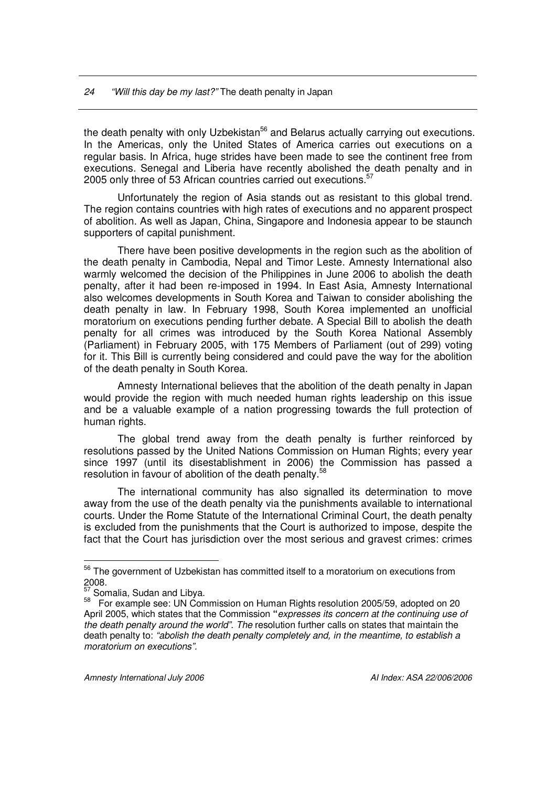the death penalty with only Uzbekistan<sup>56</sup> and Belarus actually carrying out executions. In the Americas, only the United States of America carries out executions on a regular basis. In Africa, huge strides have been made to see the continent free from executions. Senegal and Liberia have recently abolished the death penalty and in 2005 only three of 53 African countries carried out executions.<sup>57</sup>

Unfortunately the region of Asia stands out as resistant to this global trend. The region contains countries with high rates of executions and no apparent prospect of abolition. As well as Japan, China, Singapore and Indonesia appear to be staunch supporters of capital punishment.

There have been positive developments in the region such as the abolition of the death penalty in Cambodia, Nepal and Timor Leste. Amnesty International also warmly welcomed the decision of the Philippines in June 2006 to abolish the death penalty, after it had been re-imposed in 1994. In East Asia, Amnesty International also welcomes developments in South Korea and Taiwan to consider abolishing the death penalty in law. In February 1998, South Korea implemented an unofficial moratorium on executions pending further debate. A Special Bill to abolish the death penalty for all crimes was introduced by the South Korea National Assembly (Parliament) in February 2005, with 175 Members of Parliament (out of 299) voting for it. This Bill is currently being considered and could pave the way for the abolition of the death penalty in South Korea.

Amnesty International believes that the abolition of the death penalty in Japan would provide the region with much needed human rights leadership on this issue and be a valuable example of a nation progressing towards the full protection of human rights.

The global trend away from the death penalty is further reinforced by resolutions passed by the United Nations Commission on Human Rights; every year since 1997 (until its disestablishment in 2006) the Commission has passed a resolution in favour of abolition of the death penalty.<sup>58</sup>

The international community has also signalled its determination to move away from the use of the death penalty via the punishments available to international courts. Under the Rome Statute of the International Criminal Court, the death penalty is excluded from the punishments that the Court is authorized to impose, despite the fact that the Court has jurisdiction over the most serious and gravest crimes: crimes

<sup>&</sup>lt;sup>56</sup> The government of Uzbekistan has committed itself to a moratorium on executions from 2008.

<sup>&</sup>lt;sup>57</sup> Somalia, Sudan and Libya.<br><sup>58</sup> For example see: UN Commission on Human Rights resolution 2005/59, adopted on 20 April 2005, which states that the Commission **"***expresses its concern at the continuing use of the death penalty around the world". The* resolution further calls on states that maintain the death penalty to: *"abolish the death penalty completely and, in the meantime, to establish a moratorium on executions".*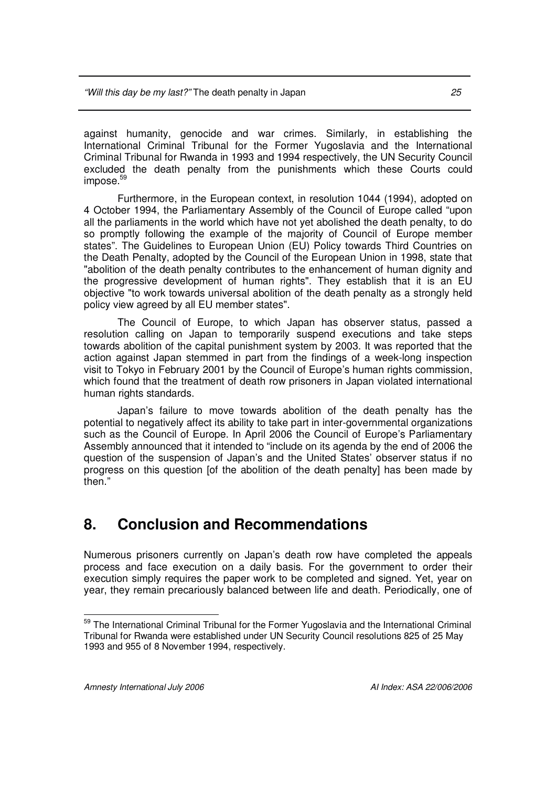against humanity, genocide and war crimes. Similarly, in establishing the International Criminal Tribunal for the Former Yugoslavia and the International Criminal Tribunal for Rwanda in 1993 and 1994 respectively, the UN Security Council excluded the death penalty from the punishments which these Courts could impose. 59

Furthermore, in the European context, in resolution 1044 (1994), adopted on 4 October 1994, the Parliamentary Assembly of the Council of Europe called "upon all the parliaments in the world which have not yet abolished the death penalty, to do so promptly following the example of the majority of Council of Europe member states". The Guidelines to European Union (EU) Policy towards Third Countries on the Death Penalty, adopted by the Council of the European Union in 1998, state that "abolition of the death penalty contributes to the enhancement of human dignity and the progressive development of human rights". They establish that it is an EU objective "to work towards universal abolition of the death penalty as a strongly held policy view agreed by all EU member states".

The Council of Europe, to which Japan has observer status, passed a resolution calling on Japan to temporarily suspend executions and take steps towards abolition of the capital punishment system by 2003. It was reported that the action against Japan stemmed in part from the findings of a week-long inspection visit to Tokyo in February 2001 by the Council of Europe's human rights commission, which found that the treatment of death row prisoners in Japan violated international human rights standards.

Japan's failure to move towards abolition of the death penalty has the potential to negatively affect its ability to take part in inter-governmental organizations such as the Council of Europe. In April 2006 the Council of Europe's Parliamentary Assembly announced that it intended to "include on its agenda by the end of 2006 the question of the suspension of Japan's and the United States' observer status if no progress on this question [of the abolition of the death penalty] has been made by then."

## **8. Conclusion and Recommendations**

Numerous prisoners currently on Japan's death row have completed the appeals process and face execution on a daily basis. For the government to order their execution simply requires the paper work to be completed and signed. Yet, year on year, they remain precariously balanced between life and death. Periodically, one of

<sup>&</sup>lt;sup>59</sup> The International Criminal Tribunal for the Former Yugoslavia and the International Criminal Tribunal for Rwanda were established under UN Security Council resolutions 825 of 25 May 1993 and 955 of 8 November 1994, respectively.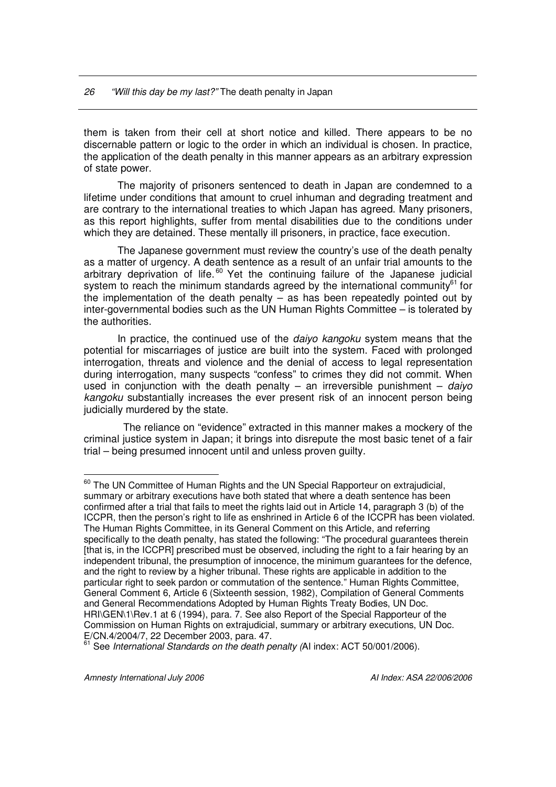them is taken from their cell at short notice and killed. There appears to be no discernable pattern or logic to the order in which an individual is chosen. In practice, the application of the death penalty in this manner appears as an arbitrary expression of state power.

The majority of prisoners sentenced to death in Japan are condemned to a lifetime under conditions that amount to cruel inhuman and degrading treatment and are contrary to the international treaties to which Japan has agreed. Many prisoners, as this report highlights, suffer from mental disabilities due to the conditions under which they are detained. These mentally ill prisoners, in practice, face execution.

The Japanese government must review the country's use of the death penalty as a matter of urgency. A death sentence as a result of an unfair trial amounts to the arbitrary deprivation of life.<sup>60</sup> Yet the continuing failure of the Japanese judicial system to reach the minimum standards agreed by the international community<sup>61</sup> for the implementation of the death penalty  $-$  as has been repeatedly pointed out by inter-governmental bodies such as the UN Human Rights Committee – is tolerated by the authorities.

In practice, the continued use of the *daiyo kangoku* system means that the potential for miscarriages of justice are built into the system. Faced with prolonged interrogation, threats and violence and the denial of access to legal representation during interrogation, many suspects "confess" to crimes they did not commit. When used in conjunction with the death penalty – an irreversible punishment – *daiyo kangoku* substantially increases the ever present risk of an innocent person being judicially murdered by the state.

The reliance on "evidence" extracted in this manner makes a mockery of the criminal justice system in Japan; it brings into disrepute the most basic tenet of a fair trial – being presumed innocent until and unless proven guilty.

<sup>&</sup>lt;sup>60</sup> The UN Committee of Human Rights and the UN Special Rapporteur on extrajudicial, summary or arbitrary executions have both stated that where a death sentence has been confirmed after a trial that fails to meet the rights laid out in Article 14, paragraph 3 (b) of the ICCPR, then the person's right to life as enshrined in Article 6 of the ICCPR has been violated. The Human Rights Committee, in its General Comment on this Article, and referring specifically to the death penalty, has stated the following: "The procedural guarantees therein [that is, in the ICCPR] prescribed must be observed, including the right to a fair hearing by an independent tribunal, the presumption of innocence, the minimum guarantees for the defence, and the right to review by a higher tribunal. These rights are applicable in addition to the particular right to seek pardon or commutation of the sentence." Human Rights Committee, General Comment 6, Article 6 (Sixteenth session, 1982), Compilation of General Comments and General Recommendations Adopted by Human Rights Treaty Bodies, UN Doc. HRI\GEN\1\Rev.1 at 6 (1994), para. 7. See also Report of the Special Rapporteur of the Commission on Human Rights on extrajudicial, summary or arbitrary executions, UN Doc. E/CN.4/2004/7, 22 December 2003, para. 47.

<sup>61</sup> See *International Standards on the death penalty (*AI index: ACT 50/001/2006).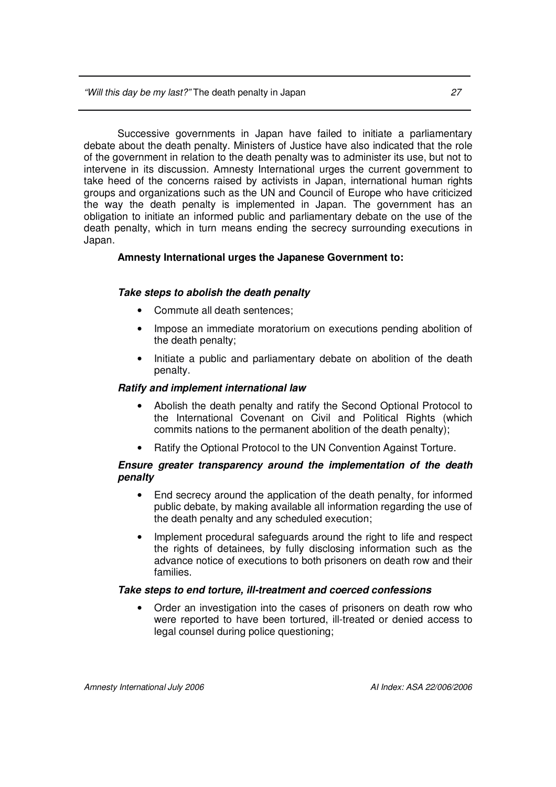Successive governments in Japan have failed to initiate a parliamentary debate about the death penalty. Ministers of Justice have also indicated that the role of the government in relation to the death penalty was to administer its use, but not to intervene in its discussion. Amnesty International urges the current government to take heed of the concerns raised by activists in Japan, international human rights groups and organizations such as the UN and Council of Europe who have criticized the way the death penalty is implemented in Japan. The government has an obligation to initiate an informed public and parliamentary debate on the use of the death penalty, which in turn means ending the secrecy surrounding executions in Japan.

#### **Amnesty International urges the Japanese Government to:**

#### *Take steps to abolish the death penalty*

- Commute all death sentences;
- Impose an immediate moratorium on executions pending abolition of the death penalty;
- Initiate a public and parliamentary debate on abolition of the death penalty.

#### *Ratify and implement international law*

- Abolish the death penalty and ratify the Second Optional Protocol to the International Covenant on Civil and Political Rights (which commits nations to the permanent abolition of the death penalty);
- Ratify the Optional Protocol to the UN Convention Against Torture.

#### *Ensure greater transparency around the implementation of the death penalty*

- End secrecy around the application of the death penalty, for informed public debate, by making available all information regarding the use of the death penalty and any scheduled execution;
- Implement procedural safeguards around the right to life and respect the rights of detainees, by fully disclosing information such as the advance notice of executions to both prisoners on death row and their families.

#### *Take steps to end torture, ill-treatment and coerced confessions*

• Order an investigation into the cases of prisoners on death row who were reported to have been tortured, ill-treated or denied access to legal counsel during police questioning;